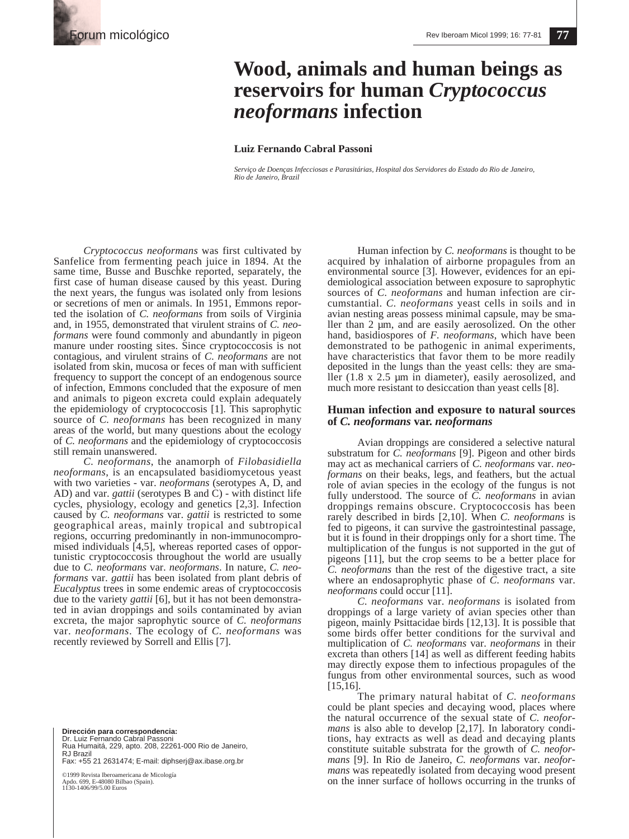# **Wood, animals and human beings as reservoirs for human** *Cryptococcus neoformans* **infection**

### **Luiz Fernando Cabral Passoni**

*Serviço de Doenças Infecciosas e Parasitárias, Hospital dos Servidores do Estado do Rio de Janeiro, Rio de Janeiro, Brazil*

*Cryptococcus neoformans* was first cultivated by Sanfelice from fermenting peach juice in 1894. At the same time, Busse and Buschke reported, separately, the first case of human disease caused by this yeast. During the next years, the fungus was isolated only from lesions or secretions of men or animals. In 1951, Emmons reported the isolation of *C. neoformans* from soils of Virginia and, in 1955, demonstrated that virulent strains of *C. neoformans* were found commonly and abundantly in pigeon manure under roosting sites. Since cryptococcosis is not contagious, and virulent strains of *C. neoformans* are not isolated from skin, mucosa or feces of man with sufficient frequency to support the concept of an endogenous source of infection, Emmons concluded that the exposure of men and animals to pigeon excreta could explain adequately the epidemiology of cryptococcosis [1]. This saprophytic source of *C. neoformans* has been recognized in many areas of the world, but many questions about the ecology of *C. neoformans* and the epidemiology of cryptococcosis still remain unanswered.

*C. neoformans*, the anamorph of *Filobasidiella neoformans*, is an encapsulated basidiomycetous yeast with two varieties - var. *neoformans* (serotypes A, D, and AD) and var. *gattii* (serotypes B and C) - with distinct life cycles, physiology, ecology and genetics [2,3]. Infection caused by *C. neoformans* var. *gattii* is restricted to some geographical areas, mainly tropical and subtropical regions, occurring predominantly in non-immunocompromised individuals [4,5], whereas reported cases of opportunistic cryptococcosis throughout the world are usually due to *C. neoformans* var. *neoformans*. In nature, *C. neoformans* var. *gattii* has been isolated from plant debris of *Eucalyptus* trees in some endemic areas of cryptococcosis due to the variety *gattii* [6], but it has not been demonstrated in avian droppings and soils contaminated by avian excreta, the major saprophytic source of *C. neoformans* var. *neoformans*. The ecology of *C. neoformans* was recently reviewed by Sorrell and Ellis [7].

**Dirección para correspondencia:** 

Dr. Luiz Fernando Cabral Passoni Rua Humaitá, 229, apto. 208, 22261-000 Rio de Janeiro, RJ Brazil Fax: +55 21 2631474; E-mail: diphserj@ax.ibase.org.br

©1999 Revista Iberoamericana de Micología

Apdo. 699, E-48080 Bilbao (Spain). 1130-1406/99/5.00 Euros

Human infection by *C. neoformans* is thought to be acquired by inhalation of airborne propagules from an environmental source [3]. However, evidences for an epidemiological association between exposure to saprophytic sources of *C. neoformans* and human infection are circumstantial. *C. neoformans* yeast cells in soils and in avian nesting areas possess minimal capsule, may be smaller than 2 µm, and are easily aerosolized. On the other hand, basidiospores of *F. neoformans*, which have been demonstrated to be pathogenic in animal experiments, have characteristics that favor them to be more readily deposited in the lungs than the yeast cells: they are smaller (1.8 x 2.5 µm in diameter), easily aerosolized, and much more resistant to desiccation than yeast cells [8].

# **Human infection and exposure to natural sources of** *C. neoformans* **var.** *neoformans*

Avian droppings are considered a selective natural substratum for *C. neoformans* [9]. Pigeon and other birds may act as mechanical carriers of *C. neoformans* var. *neoformans* on their beaks, legs, and feathers, but the actual role of avian species in the ecology of the fungus is not fully understood. The source of *C. neoformans* in avian droppings remains obscure. Cryptococcosis has been rarely described in birds [2,10]. When *C. neoformans* is fed to pigeons, it can survive the gastrointestinal passage, but it is found in their droppings only for a short time. The multiplication of the fungus is not supported in the gut of pigeons [11], but the crop seems to be a better place for *C. neoformans* than the rest of the digestive tract, a site where an endosaprophytic phase of *C. neoformans* var. *neoformans* could occur [11].

*C. neoformans* var. *neoformans* is isolated from droppings of a large variety of avian species other than pigeon, mainly Psittacidae birds [12,13]. It is possible that some birds offer better conditions for the survival and multiplication of *C. neoformans* var. *neoformans* in their excreta than others [14] as well as different feeding habits may directly expose them to infectious propagules of the fungus from other environmental sources, such as wood [15,16].

The primary natural habitat of *C. neoformans* could be plant species and decaying wood, places where the natural occurrence of the sexual state of *C. neoformans* is also able to develop [2,17]. In laboratory conditions, hay extracts as well as dead and decaying plants constitute suitable substrata for the growth of *C. neoformans* [9]. In Rio de Janeiro, *C. neoformans* var. *neoformans* was repeatedly isolated from decaying wood present on the inner surface of hollows occurring in the trunks of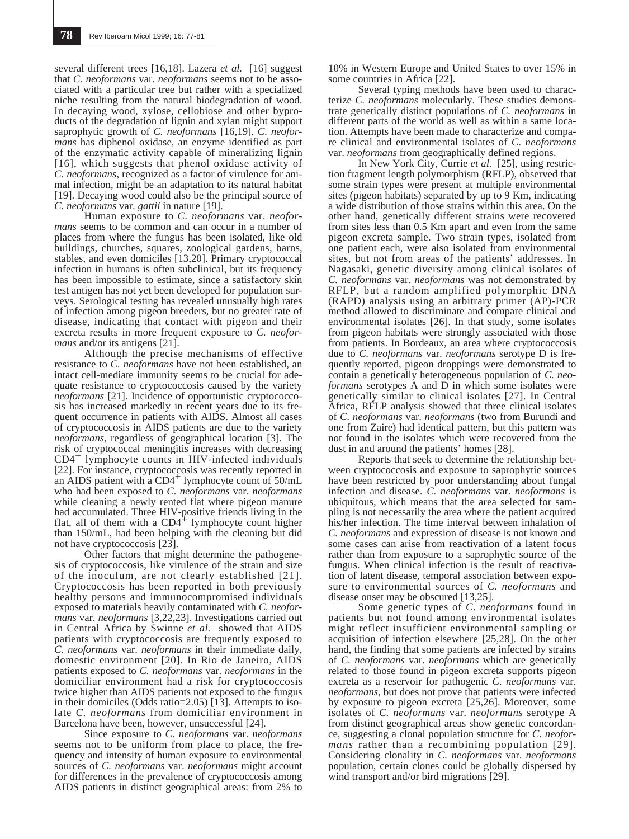several different trees [16,18]. Lazera *et al.* [16] suggest that *C. neoformans* var. *neoformans* seems not to be associated with a particular tree but rather with a specialized niche resulting from the natural biodegradation of wood. In decaying wood, xylose, cellobiose and other byproducts of the degradation of lignin and xylan might support saprophytic growth of *C. neoformans* [16,19]. *C. neoformans* has diphenol oxidase, an enzyme identified as part of the enzymatic activity capable of mineralizing lignin [16], which suggests that phenol oxidase activity of *C. neoformans*, recognized as a factor of virulence for animal infection, might be an adaptation to its natural habitat [19]. Decaying wood could also be the principal source of *C. neoformans* var. *gattii* in nature [19].

Human exposure to *C. neoformans* var. *neoformans* seems to be common and can occur in a number of places from where the fungus has been isolated, like old buildings, churches, squares, zoological gardens, barns, stables, and even domiciles [13,20]. Primary cryptococcal infection in humans is often subclinical, but its frequency has been impossible to estimate, since a satisfactory skin test antigen has not yet been developed for population surveys. Serological testing has revealed unusually high rates of infection among pigeon breeders, but no greater rate of disease, indicating that contact with pigeon and their excreta results in more frequent exposure to *C. neoformans* and/or its antigens [21].

Although the precise mechanisms of effective resistance to *C. neoformans* have not been established, an intact cell-mediate immunity seems to be crucial for adequate resistance to cryptococcosis caused by the variety *neoformans* [21]. Incidence of opportunistic cryptococcosis has increased markedly in recent years due to its frequent occurrence in patients with AIDS. Almost all cases of cryptococcosis in AIDS patients are due to the variety *neoformans*, regardless of geographical location [3]. The risk of cryptococcal meningitis increases with decreasing CD4+ lymphocyte counts in HIV-infected individuals [22]. For instance, cryptococcosis was recently reported in an AIDS patient with a  $CD4<sup>+</sup>$  lymphocyte count of 50/mL who had been exposed to *C. neoformans* var. *neoformans* while cleaning a newly rented flat where pigeon manure had accumulated. Three HIV-positive friends living in the flat, all of them with a  $CD4$ <sup>+</sup> lymphocyte count higher than 150/mL, had been helping with the cleaning but did not have cryptococcosis [23].

Other factors that might determine the pathogenesis of cryptococcosis, like virulence of the strain and size of the inoculum, are not clearly established [21]. Cryptococcosis has been reported in both previously healthy persons and immunocompromised individuals exposed to materials heavily contaminated with *C. neoformans* var. *neoformans* [3,22,23]. Investigations carried out in Central Africa by Swinne *et al.* showed that AIDS patients with cryptococcosis are frequently exposed to *C. neoformans* var. *neoformans* in their immediate daily, domestic environment [20]. In Rio de Janeiro, AIDS patients exposed to *C. neoformans* var. *neoformans* in the domiciliar environment had a risk for cryptococcosis twice higher than AIDS patients not exposed to the fungus in their domiciles (Odds ratio=2.05) [13]. Attempts to isolate *C. neoformans* from domiciliar environment in Barcelona have been, however, unsuccessful [24].

Since exposure to *C. neoformans* var. *neoformans* seems not to be uniform from place to place, the frequency and intensity of human exposure to environmental sources of *C. neoformans* var. *neoformans* might account for differences in the prevalence of cryptococcosis among AIDS patients in distinct geographical areas: from 2% to

10% in Western Europe and United States to over 15% in some countries in Africa [22].

Several typing methods have been used to characterize *C. neoformans* molecularly. These studies demonstrate genetically distinct populations of *C. neoformans* in different parts of the world as well as within a same location. Attempts have been made to characterize and compare clinical and environmental isolates of *C. neoformans* var. *neoformans* from geographically defined regions.

In New York City, Currie *et al.* [25], using restriction fragment length polymorphism (RFLP), observed that some strain types were present at multiple environmental sites (pigeon habitats) separated by up to 9 Km, indicating a wide distribution of those strains within this area. On the other hand, genetically different strains were recovered from sites less than 0.5 Km apart and even from the same pigeon excreta sample. Two strain types, isolated from one patient each, were also isolated from environmental sites, but not from areas of the patients' addresses. In Nagasaki, genetic diversity among clinical isolates of *C. neoformans* var. *neoformans* was not demonstrated by RFLP, but a random amplified polymorphic DNA (RAPD) analysis using an arbitrary primer (AP)-PCR method allowed to discriminate and compare clinical and environmental isolates [26]. In that study, some isolates from pigeon habitats were strongly associated with those from patients. In Bordeaux, an area where cryptococcosis due to *C. neoformans* var. *neoformans* serotype D is frequently reported, pigeon droppings were demonstrated to contain a genetically heterogeneous population of *C. neoformans* serotypes A and D in which some isolates were genetically similar to clinical isolates [27]. In Central Africa, RFLP analysis showed that three clinical isolates of *C. neoformans* var. *neoformans* (two from Burundi and one from Zaire) had identical pattern, but this pattern was not found in the isolates which were recovered from the dust in and around the patients' homes [28].

Reports that seek to determine the relationship between cryptococcosis and exposure to saprophytic sources have been restricted by poor understanding about fungal infection and disease. *C. neoformans* var. *neoformans* is ubiquitous, which means that the area selected for sampling is not necessarily the area where the patient acquired his/her infection. The time interval between inhalation of *C. neoformans* and expression of disease is not known and some cases can arise from reactivation of a latent focus rather than from exposure to a saprophytic source of the fungus. When clinical infection is the result of reactivation of latent disease, temporal association between exposure to environmental sources of *C. neoformans* and disease onset may be obscured [13,25].

Some genetic types of *C. neoformans* found in patients but not found among environmental isolates might reflect insufficient environmental sampling or acquisition of infection elsewhere [25,28]. On the other hand, the finding that some patients are infected by strains of *C. neoformans* var. *neoformans* which are genetically related to those found in pigeon excreta supports pigeon excreta as a reservoir for pathogenic *C. neoformans* var. *neoformans*, but does not prove that patients were infected by exposure to pigeon excreta [25,26]. Moreover, some isolates of *C. neoformans* var. *neoformans* serotype A from distinct geographical areas show genetic concordance, suggesting a clonal population structure for *C. neoformans* rather than a recombining population [29]. Considering clonality in *C. neoformans* var. *neoformans* population, certain clones could be globally dispersed by wind transport and/or bird migrations [29].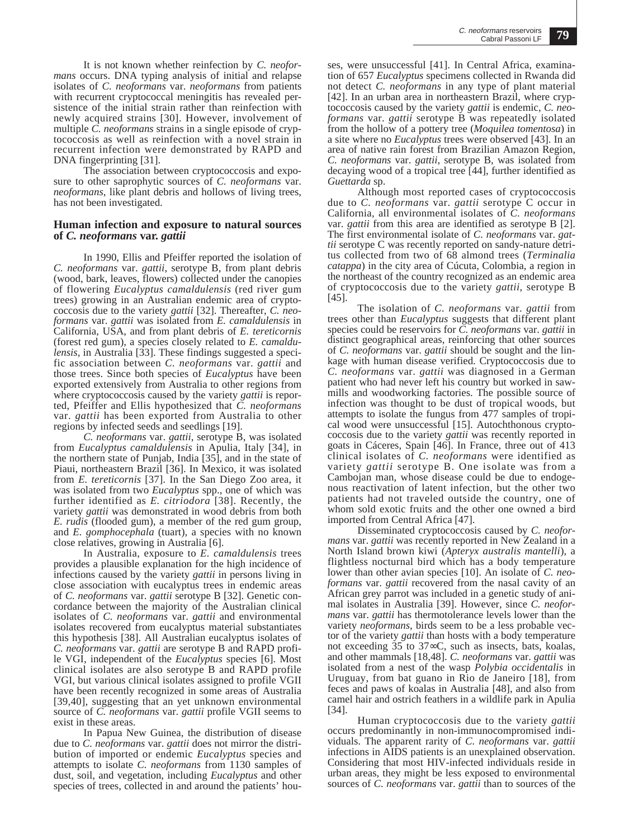It is not known whether reinfection by *C. neoformans* occurs. DNA typing analysis of initial and relapse isolates of *C. neoformans* var. *neoformans* from patients with recurrent cryptococcal meningitis has revealed persistence of the initial strain rather than reinfection with newly acquired strains [30]. However, involvement of multiple *C. neoformans* strains in a single episode of cryptococcosis as well as reinfection with a novel strain in recurrent infection were demonstrated by RAPD and DNA fingerprinting [31].

The association between cryptococcosis and exposure to other saprophytic sources of *C. neoformans* var. *neoformans*, like plant debris and hollows of living trees, has not been investigated.

# **Human infection and exposure to natural sources of** *C. neoformans* **var.** *gattii*

In 1990, Ellis and Pfeiffer reported the isolation of *C. neoformans* var. *gattii*, serotype B, from plant debris (wood, bark, leaves, flowers) collected under the canopies of flowering *Eucalyptus camaldulensis* (red river gum trees) growing in an Australian endemic area of cryptococcosis due to the variety *gattii* [32]. Thereafter, *C. neoformans* var. *gattii* was isolated from *E. camaldulensis* in California, USA, and from plant debris of *E. tereticornis* (forest red gum), a species closely related to *E. camaldulensis*, in Australia [33]. These findings suggested a specific association between *C. neoformans* var. *gattii* and those trees. Since both species of *Eucalyptus* have been exported extensively from Australia to other regions from where cryptococcosis caused by the variety *gattii* is reported, Pfeiffer and Ellis hypothesized that *C. neoformans* var. *gattii* has been exported from Australia to other regions by infected seeds and seedlings [19].

*C. neoformans* var. *gattii*, serotype B, was isolated from *Eucalyptus camaldulensis* in Apulia, Italy [34], in the northern state of Punjab, India [35], and in the state of Piaui, northeastern Brazil [36]. In Mexico, it was isolated from *E. tereticornis* [37]. In the San Diego Zoo area, it was isolated from two *Eucalyptus* spp., one of which was further identified as *E. citriodora* [38]. Recently, the variety *gattii* was demonstrated in wood debris from both *E. rudis* (flooded gum), a member of the red gum group, and *E. gomphocephala* (tuart), a species with no known close relatives, growing in Australia [6].

In Australia, exposure to *E. camaldulensis* trees provides a plausible explanation for the high incidence of infections caused by the variety *gattii* in persons living in close association with eucalyptus trees in endemic areas of *C. neoformans* var. *gattii* serotype B [32]. Genetic concordance between the majority of the Australian clinical isolates of *C. neoformans* var. *gattii* and environmental isolates recovered from eucalyptus material substantiates this hypothesis [38]. All Australian eucalyptus isolates of *C. neoformans* var. *gattii* are serotype B and RAPD profile VGI, independent of the *Eucalyptus* species [6]. Most clinical isolates are also serotype B and RAPD profile VGI, but various clinical isolates assigned to profile VGII have been recently recognized in some areas of Australia [39,40], suggesting that an yet unknown environmental source of *C. neoformans* var. *gattii* profile VGII seems to exist in these areas.

In Papua New Guinea, the distribution of disease due to *C. neoformans* var. *gattii* does not mirror the distribution of imported or endemic *Eucalyptus* species and attempts to isolate *C. neoformans* from 1130 samples of dust, soil, and vegetation, including *Eucalyptus* and other species of trees, collected in and around the patients' hou-

ses, were unsuccessful [41]. In Central Africa, examination of 657 *Eucalyptus* specimens collected in Rwanda did not detect *C. neoformans* in any type of plant material [42]. In an urban area in northeastern Brazil, where cryptococcosis caused by the variety *gattii* is endemic, *C. neoformans* var. *gattii* serotype B was repeatedly isolated from the hollow of a pottery tree (*Moquilea tomentosa*) in a site where no *Eucalyptus* trees were observed [43]. In an area of native rain forest from Brazilian Amazon Region, *C. neoformans* var. *gattii*, serotype B, was isolated from decaying wood of a tropical tree [44], further identified as *Guettarda* sp.

Although most reported cases of cryptococcosis due to *C. neoformans* var. *gattii* serotype C occur in California, all environmental isolates of *C. neoformans* var. *gattii* from this area are identified as serotype B [2]. The first environmental isolate of *C. neoformans* var. *gattii* serotype C was recently reported on sandy-nature detritus collected from two of 68 almond trees (*Terminalia catappa*) in the city area of Cúcuta, Colombia, a region in the northeast of the country recognized as an endemic area of cryptococcosis due to the variety *gattii*, serotype B [45].

The isolation of *C. neoformans* var. *gattii* from trees other than *Eucalyptus* suggests that different plant species could be reservoirs for *C. neoformans* var. *gattii* in distinct geographical areas, reinforcing that other sources of *C. neoformans* var. *gattii* should be sought and the linkage with human disease verified. Cryptococcosis due to *C. neoformans* var. *gattii* was diagnosed in a German patient who had never left his country but worked in sawmills and woodworking factories. The possible source of infection was thought to be dust of tropical woods, but attempts to isolate the fungus from 477 samples of tropical wood were unsuccessful [15]. Autochthonous cryptococcosis due to the variety *gattii* was recently reported in goats in Cáceres, Spain [46]. In France, three out of 413 clinical isolates of *C. neoformans* were identified as variety *gattii* serotype B. One isolate was from a Cambojan man, whose disease could be due to endogenous reactivation of latent infection, but the other two patients had not traveled outside the country, one of whom sold exotic fruits and the other one owned a bird imported from Central Africa [47].

Disseminated cryptococcosis caused by *C. neoformans* var. *gattii* was recently reported in New Zealand in a North Island brown kiwi (*Apteryx australis mantelli*), a flightless nocturnal bird which has a body temperature lower than other avian species [10]. An isolate of *C. neoformans* var. *gattii* recovered from the nasal cavity of an African grey parrot was included in a genetic study of animal isolates in Australia [39]. However, since *C. neoformans* var. *gattii* has thermotolerance levels lower than the variety *neoformans*, birds seem to be a less probable vector of the variety *gattii* than hosts with a body temperature not exceeding 35 to 37∞C, such as insects, bats, koalas, and other mammals [18,48]. *C. neoformans* var. *gattii* was isolated from a nest of the wasp *Polybia occidentalis* in Uruguay, from bat guano in Rio de Janeiro [18], from feces and paws of koalas in Australia [48], and also from camel hair and ostrich feathers in a wildlife park in Apulia [34].

Human cryptococcosis due to the variety *gattii* occurs predominantly in non-immunocompromised individuals. The apparent rarity of *C. neoformans* var. *gattii* infections in AIDS patients is an unexplained observation. Considering that most HIV-infected individuals reside in urban areas, they might be less exposed to environmental sources of *C. neoformans* var. *gattii* than to sources of the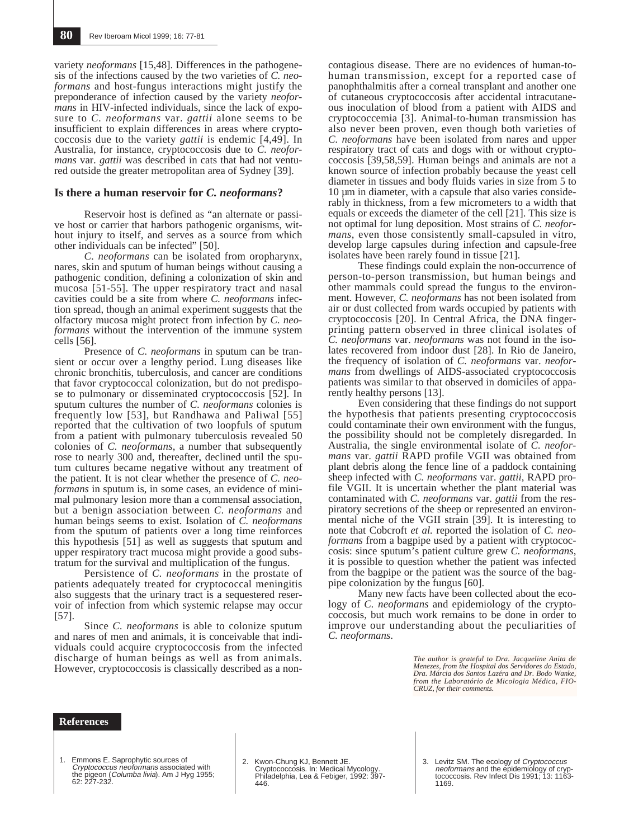variety *neoformans* [15,48]. Differences in the pathogenesis of the infections caused by the two varieties of *C. neoformans* and host-fungus interactions might justify the preponderance of infection caused by the variety *neoformans* in HIV-infected individuals, since the lack of exposure to *C. neoformans* var. *gattii* alone seems to be insufficient to explain differences in areas where cryptococcosis due to the variety *gattii* is endemic [4,49]. In Australia, for instance, cryptococcosis due to *C. neoformans* var. *gattii* was described in cats that had not ventured outside the greater metropolitan area of Sydney [39].

#### **Is there a human reservoir for** *C. neoformans***?**

Reservoir host is defined as "an alternate or passive host or carrier that harbors pathogenic organisms, without injury to itself, and serves as a source from which other individuals can be infected" [50].

*C. neoformans* can be isolated from oropharynx, nares, skin and sputum of human beings without causing a pathogenic condition, defining a colonization of skin and mucosa [51-55]. The upper respiratory tract and nasal cavities could be a site from where *C. neoformans* infection spread, though an animal experiment suggests that the olfactory mucosa might protect from infection by *C. neoformans* without the intervention of the immune system cells [56].

Presence of *C. neoformans* in sputum can be transient or occur over a lengthy period. Lung diseases like chronic bronchitis, tuberculosis, and cancer are conditions that favor cryptococcal colonization, but do not predispose to pulmonary or disseminated cryptococcosis [52]. In sputum cultures the number of *C. neoformans* colonies is frequently low [53], but Randhawa and Paliwal [55] reported that the cultivation of two loopfuls of sputum from a patient with pulmonary tuberculosis revealed 50 colonies of *C. neoformans*, a number that subsequently rose to nearly 300 and, thereafter, declined until the sputum cultures became negative without any treatment of the patient. It is not clear whether the presence of *C. neoformans* in sputum is, in some cases, an evidence of minimal pulmonary lesion more than a commensal association, but a benign association between *C. neoformans* and human beings seems to exist. Isolation of *C. neoformans* from the sputum of patients over a long time reinforces this hypothesis [51] as well as suggests that sputum and upper respiratory tract mucosa might provide a good substratum for the survival and multiplication of the fungus.

Persistence of *C. neoformans* in the prostate of patients adequately treated for cryptococcal meningitis also suggests that the urinary tract is a sequestered reservoir of infection from which systemic relapse may occur [57].

Since *C. neoformans* is able to colonize sputum and nares of men and animals, it is conceivable that individuals could acquire cryptococcosis from the infected discharge of human beings as well as from animals. However, cryptococcosis is classically described as a non-

contagious disease. There are no evidences of human-tohuman transmission, except for a reported case of panophthalmitis after a corneal transplant and another one of cutaneous cryptococcosis after accidental intracutaneous inoculation of blood from a patient with AIDS and cryptococcemia [3]. Animal-to-human transmission has also never been proven, even though both varieties of *C. neoformans* have been isolated from nares and upper respiratory tract of cats and dogs with or without cryptococcosis [39,58,59]. Human beings and animals are not a known source of infection probably because the yeast cell diameter in tissues and body fluids varies in size from 5 to 10 µm in diameter, with a capsule that also varies considerably in thickness, from a few micrometers to a width that equals or exceeds the diameter of the cell [21]. This size is not optimal for lung deposition. Most strains of *C. neoformans*, even those consistently small-capsuled in vitro, develop large capsules during infection and capsule-free isolates have been rarely found in tissue [21].

These findings could explain the non-occurrence of person-to-person transmission, but human beings and other mammals could spread the fungus to the environment. However, *C. neoformans* has not been isolated from air or dust collected from wards occupied by patients with cryptococcosis [20]. In Central Africa, the DNA fingerprinting pattern observed in three clinical isolates of *C. neoformans* var. *neoformans* was not found in the isolates recovered from indoor dust [28]. In Rio de Janeiro, the frequency of isolation of *C. neoformans* var. *neoformans* from dwellings of AIDS-associated cryptococcosis patients was similar to that observed in domiciles of apparently healthy persons [13].

Even considering that these findings do not support the hypothesis that patients presenting cryptococcosis could contaminate their own environment with the fungus, the possibility should not be completely disregarded. In Australia, the single environmental isolate of *C. neoformans* var. *gattii* RAPD profile VGII was obtained from plant debris along the fence line of a paddock containing sheep infected with *C. neoformans* var. *gattii*, RAPD profile VGII. It is uncertain whether the plant material was contaminated with *C. neoformans* var. *gattii* from the respiratory secretions of the sheep or represented an environmental niche of the VGII strain [39]. It is interesting to note that Cobcroft *et al.* reported the isolation of *C. neoformans* from a bagpipe used by a patient with cryptococcosis: since sputum's patient culture grew *C. neoformans*, it is possible to question whether the patient was infected from the bagpipe or the patient was the source of the bagpipe colonization by the fungus [60].

Many new facts have been collected about the ecology of *C. neoformans* and epidemiology of the cryptococcosis, but much work remains to be done in order to improve our understanding about the peculiarities of *C. neoformans*.

> *The author is grateful to Dra. Jacqueline Anita de Menezes, from the Hospital dos Servidores do Estado, Dra. Márcia dos Santos Lazéra and Dr. Bodo Wanke, from the Laboratório de Micologia Médica, FIO-CRUZ, for their comments.*

#### **References**

1. Emmons E. Saprophytic sources of Cryptococcus neoformans associated with the pigeon (*Columba livia*). Am J Hyg 1955;<br>62: 227-232.

2. Kwon-Chung KJ, Bennett JE. Cryptococcosis. In: Medical Mycology. Philadelphia, Lea & Febiger, 1992: 397- 446.

<sup>3.</sup> Levitz SM. The ecology of Cryptococcus neoformans and the epidemiology of cryp-tococcosis. Rev Infect Dis 1991; 13: 1163- 1169.